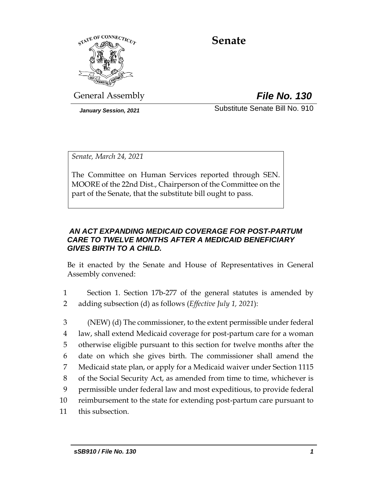

# **Senate**

General Assembly *File No. 130*

*January Session, 2021* Substitute Senate Bill No. 910

*Senate, March 24, 2021*

The Committee on Human Services reported through SEN. MOORE of the 22nd Dist., Chairperson of the Committee on the part of the Senate, that the substitute bill ought to pass.

## *AN ACT EXPANDING MEDICAID COVERAGE FOR POST-PARTUM CARE TO TWELVE MONTHS AFTER A MEDICAID BENEFICIARY GIVES BIRTH TO A CHILD.*

Be it enacted by the Senate and House of Representatives in General Assembly convened:

- 1 Section 1. Section 17b-277 of the general statutes is amended by 2 adding subsection (d) as follows (*Effective July 1, 2021*):
- 3 (NEW) (d) The commissioner, to the extent permissible under federal 4 law, shall extend Medicaid coverage for post-partum care for a woman 5 otherwise eligible pursuant to this section for twelve months after the 6 date on which she gives birth. The commissioner shall amend the 7 Medicaid state plan, or apply for a Medicaid waiver under Section 1115 8 of the Social Security Act, as amended from time to time, whichever is 9 permissible under federal law and most expeditious, to provide federal 10 reimbursement to the state for extending post-partum care pursuant to 11 this subsection.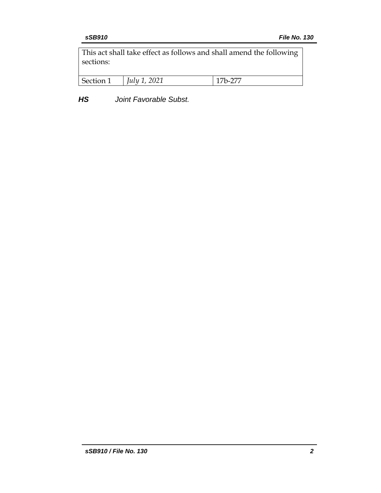This act shall take effect as follows and shall amend the following sections:

| Secti | ,,,,,,<br>$\mu\mu$ | -- |
|-------|--------------------|----|
|       |                    |    |

*HS Joint Favorable Subst.*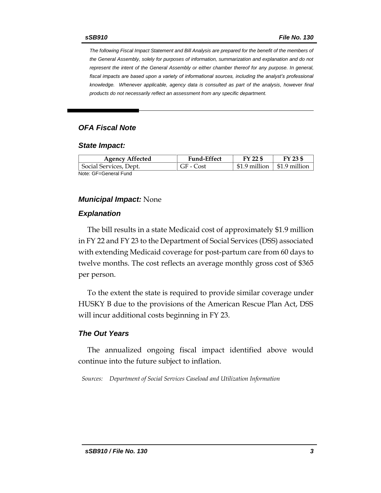*The following Fiscal Impact Statement and Bill Analysis are prepared for the benefit of the members of the General Assembly, solely for purposes of information, summarization and explanation and do not represent the intent of the General Assembly or either chamber thereof for any purpose. In general,*  fiscal impacts are based upon a variety of informational sources, including the analyst's professional *knowledge. Whenever applicable, agency data is consulted as part of the analysis, however final products do not necessarily reflect an assessment from any specific department.*

### *OFA Fiscal Note*

#### *State Impact:*

| <b>Agency Affected</b> | <b>Fund-Effect</b> | FY 22 \$      | $FY$ 23 \$    |
|------------------------|--------------------|---------------|---------------|
| Social Services, Dept. | GF - Cost          | \$1.9 million | \$1.9 million |
| Note: GF=General Fund  |                    |               |               |

#### *Municipal Impact:* None

#### *Explanation*

The bill results in a state Medicaid cost of approximately \$1.9 million in FY 22 and FY 23 to the Department of Social Services (DSS) associated with extending Medicaid coverage for post-partum care from 60 days to twelve months. The cost reflects an average monthly gross cost of \$365 per person.

To the extent the state is required to provide similar coverage under HUSKY B due to the provisions of the American Rescue Plan Act, DSS will incur additional costs beginning in FY 23.

#### *The Out Years*

The annualized ongoing fiscal impact identified above would continue into the future subject to inflation.

*Sources: Department of Social Services Caseload and Utilization Information*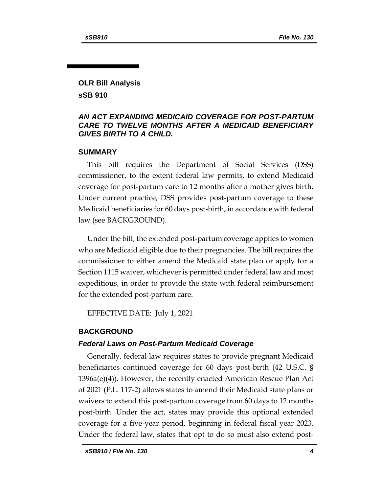## **OLR Bill Analysis sSB 910**

## *AN ACT EXPANDING MEDICAID COVERAGE FOR POST-PARTUM CARE TO TWELVE MONTHS AFTER A MEDICAID BENEFICIARY GIVES BIRTH TO A CHILD.*

### **SUMMARY**

This bill requires the Department of Social Services (DSS) commissioner, to the extent federal law permits, to extend Medicaid coverage for post-partum care to 12 months after a mother gives birth. Under current practice, DSS provides post-partum coverage to these Medicaid beneficiaries for 60 days post-birth, in accordance with federal law (see BACKGROUND).

Under the bill, the extended post-partum coverage applies to women who are Medicaid eligible due to their pregnancies. The bill requires the commissioner to either amend the Medicaid state plan or apply for a Section 1115 waiver, whichever is permitted under federal law and most expeditious, in order to provide the state with federal reimbursement for the extended post-partum care.

EFFECTIVE DATE: July 1, 2021

## **BACKGROUND**

## *Federal Laws on Post-Partum Medicaid Coverage*

Generally, federal law requires states to provide pregnant Medicaid beneficiaries continued coverage for 60 days post-birth (42 U.S.C. § 1396a(e)(4)). However, the recently enacted American Rescue Plan Act of 2021 (P.L. 117-2) allows states to amend their Medicaid state plans or waivers to extend this post-partum coverage from 60 days to 12 months post-birth. Under the act, states may provide this optional extended coverage for a five-year period, beginning in federal fiscal year 2023. Under the federal law, states that opt to do so must also extend post-